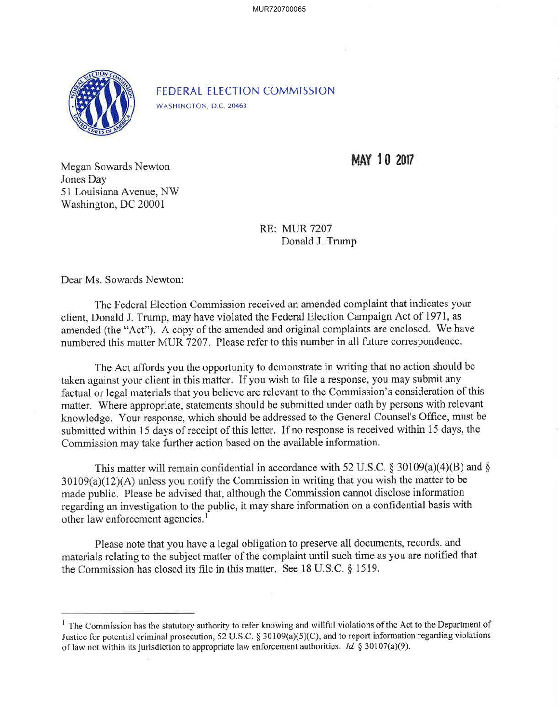MUR720700065



FEDERAL ELECTION COMMISSION WASHINGTON, D.C. 20463

**MAY 10 2017** 

Megan Sowards Newton Jones Day 51 Louisiana Avenue, NW Washington, DC 20001

> RE: MUR 7207 Donald J. Trump

Dear Ms. Sowards Newton:

The Federal Election Commission received an amended complaint that indicates your client, Donald J. Trump, may have violated the Federal Election Campaign Act of 1971, as amended (the "Act"). A copy of the amended and original complaints are enclosed. We have numbered this matter MUR 7207. Please refer to this number in all future correspondence.

The Act affords you the opportunity to demonstrate in writing that no action should be taken against your client in this matter. If you wish to file a response, you may submit any factual or legal materials that you believe are relevant to the Commission's consideration of this matter. Where appropriate, statements should be submitted under oath by persons with relevant knowledge. Your response, which should be addressed to the General Counsel's Office, must be submitted within 15 days of receipt of this letter. If no response is received within 15 days, the Commission may take further action based on the available information.

This matter will remain confidential in accordance with 52 U.S.C. § 30109(a)(4)(B) and §  $30109(a)(12)$ (A) unless you notify the Commission in writing that you wish the matter to be made public. Please be advised that, although the Commission cannot disclose information regarding an investigation to the public, it may share information on a confidential basis with other law enforcement agencies.<sup>1</sup>

Please note that you have a legal obligation to preserve all documents, records. and materials relating to the subject matter of the complaint until such time as you are notified that the Commission has closed its file in this matter. See 18 U.S.C. § 1519.

<sup>&</sup>lt;sup>1</sup> The Commission has the statutory authority to refer knowing and willful violations of the Act to the Department of Justice for potential criminal prosecution, 52 U.S.C. § 30109(a)(5)(C), and to report information regarding violations of law not within its jurisdiction to appropriate law enforcement authorities. *Id.* § 30107(a)(9).